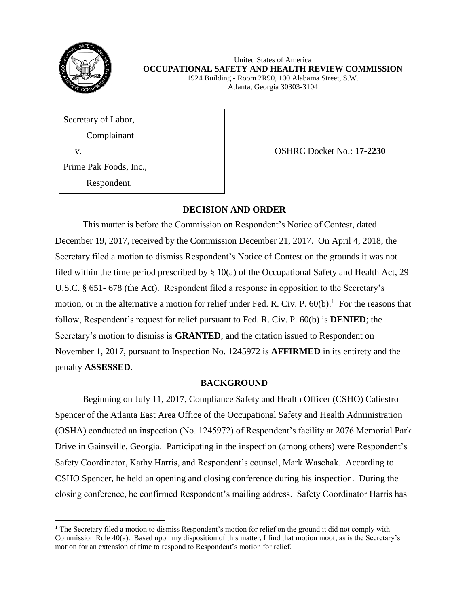

 $\overline{\phantom{a}}$ 

United States of America **OCCUPATIONAL SAFETY AND HEALTH REVIEW COMMISSION** 1924 Building - Room 2R90, 100 Alabama Street, S.W.

Atlanta, Georgia 30303-3104

Secretary of Labor, Complainant

v. OSHRC Docket No.: **17-2230**

Prime Pak Foods, Inc.,

Respondent.

# **DECISION AND ORDER**

This matter is before the Commission on Respondent's Notice of Contest, dated December 19, 2017, received by the Commission December 21, 2017. On April 4, 2018, the Secretary filed a motion to dismiss Respondent's Notice of Contest on the grounds it was not filed within the time period prescribed by § 10(a) of the Occupational Safety and Health Act, 29 U.S.C. § 651- 678 (the Act). Respondent filed a response in opposition to the Secretary's motion, or in the alternative a motion for relief under Fed. R. Civ. P.  $60(b)$ .<sup>1</sup> For the reasons that follow, Respondent's request for relief pursuant to Fed. R. Civ. P. 60(b) is **DENIED**; the Secretary's motion to dismiss is **GRANTED**; and the citation issued to Respondent on November 1, 2017, pursuant to Inspection No. 1245972 is **AFFIRMED** in its entirety and the penalty **ASSESSED**.

# **BACKGROUND**

Beginning on July 11, 2017, Compliance Safety and Health Officer (CSHO) Caliestro Spencer of the Atlanta East Area Office of the Occupational Safety and Health Administration (OSHA) conducted an inspection (No. 1245972) of Respondent's facility at 2076 Memorial Park Drive in Gainsville, Georgia. Participating in the inspection (among others) were Respondent's Safety Coordinator, Kathy Harris, and Respondent's counsel, Mark Waschak. According to CSHO Spencer, he held an opening and closing conference during his inspection. During the closing conference, he confirmed Respondent's mailing address. Safety Coordinator Harris has

<sup>1</sup> The Secretary filed a motion to dismiss Respondent's motion for relief on the ground it did not comply with Commission Rule 40(a). Based upon my disposition of this matter, I find that motion moot, as is the Secretary's motion for an extension of time to respond to Respondent's motion for relief.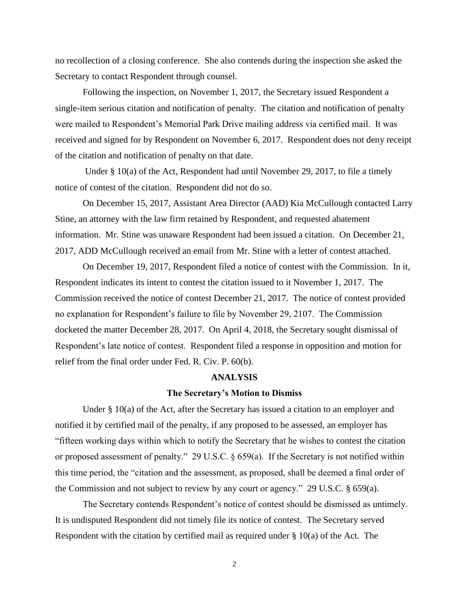no recollection of a closing conference. She also contends during the inspection she asked the Secretary to contact Respondent through counsel.

Following the inspection, on November 1, 2017, the Secretary issued Respondent a single-item serious citation and notification of penalty. The citation and notification of penalty were mailed to Respondent's Memorial Park Drive mailing address via certified mail. It was received and signed for by Respondent on November 6, 2017. Respondent does not deny receipt of the citation and notification of penalty on that date.

Under § 10(a) of the Act, Respondent had until November 29, 2017, to file a timely notice of contest of the citation. Respondent did not do so.

On December 15, 2017, Assistant Area Director (AAD) Kia McCullough contacted Larry Stine, an attorney with the law firm retained by Respondent, and requested abatement information. Mr. Stine was unaware Respondent had been issued a citation. On December 21, 2017, ADD McCullough received an email from Mr. Stine with a letter of contest attached.

On December 19, 2017, Respondent filed a notice of contest with the Commission. In it, Respondent indicates its intent to contest the citation issued to it November 1, 2017. The Commission received the notice of contest December 21, 2017. The notice of contest provided no explanation for Respondent's failure to file by November 29, 2107. The Commission docketed the matter December 28, 2017. On April 4, 2018, the Secretary sought dismissal of Respondent's late notice of contest. Respondent filed a response in opposition and motion for relief from the final order under Fed. R. Civ. P. 60(b).

#### **ANALYSIS**

#### **The Secretary's Motion to Dismiss**

Under § 10(a) of the Act, after the Secretary has issued a citation to an employer and notified it by certified mail of the penalty, if any proposed to be assessed, an employer has "fifteen working days within which to notify the Secretary that he wishes to contest the citation or proposed assessment of penalty." 29 U.S.C. § 659(a). If the Secretary is not notified within this time period, the "citation and the assessment, as proposed, shall be deemed a final order of the Commission and not subject to review by any court or agency." 29 U.S.C. § 659(a).

The Secretary contends Respondent's notice of contest should be dismissed as untimely. It is undisputed Respondent did not timely file its notice of contest. The Secretary served Respondent with the citation by certified mail as required under  $\S$  10(a) of the Act. The

2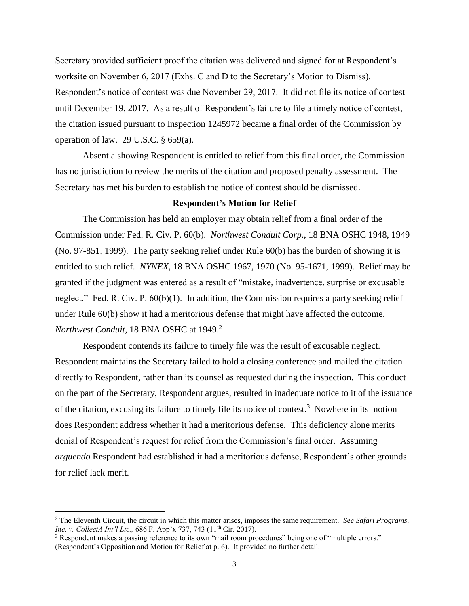Secretary provided sufficient proof the citation was delivered and signed for at Respondent's worksite on November 6, 2017 (Exhs. C and D to the Secretary's Motion to Dismiss). Respondent's notice of contest was due November 29, 2017. It did not file its notice of contest until December 19, 2017. As a result of Respondent's failure to file a timely notice of contest, the citation issued pursuant to Inspection 1245972 became a final order of the Commission by operation of law. 29 U.S.C. § 659(a).

Absent a showing Respondent is entitled to relief from this final order, the Commission has no jurisdiction to review the merits of the citation and proposed penalty assessment. The Secretary has met his burden to establish the notice of contest should be dismissed.

# **Respondent's Motion for Relief**

The Commission has held an employer may obtain relief from a final order of the Commission under Fed. R. Civ. P. 60(b). *Northwest Conduit Corp.*, 18 BNA OSHC 1948, 1949 (No. 97-851, 1999). The party seeking relief under Rule 60(b) has the burden of showing it is entitled to such relief. *NYNEX*, 18 BNA OSHC 1967, 1970 (No. 95-1671, 1999). Relief may be granted if the judgment was entered as a result of "mistake, inadvertence, surprise or excusable neglect." Fed. R. Civ. P. 60(b)(1). In addition, the Commission requires a party seeking relief under Rule 60(b) show it had a meritorious defense that might have affected the outcome. *Northwest Conduit*, 18 BNA OSHC at 1949.<sup>2</sup>

Respondent contends its failure to timely file was the result of excusable neglect. Respondent maintains the Secretary failed to hold a closing conference and mailed the citation directly to Respondent, rather than its counsel as requested during the inspection. This conduct on the part of the Secretary, Respondent argues, resulted in inadequate notice to it of the issuance of the citation, excusing its failure to timely file its notice of contest.<sup>3</sup> Nowhere in its motion does Respondent address whether it had a meritorious defense. This deficiency alone merits denial of Respondent's request for relief from the Commission's final order. Assuming *arguendo* Respondent had established it had a meritorious defense, Respondent's other grounds for relief lack merit.

 $\overline{a}$ 

<sup>2</sup> The Eleventh Circuit, the circuit in which this matter arises, imposes the same requirement. *See Safari Programs, Inc. v. CollectA Int'l Ltc.,* 686 F. App'x 737, 743 (11<sup>th</sup> Cir. 2017).

<sup>&</sup>lt;sup>3</sup> Respondent makes a passing reference to its own "mail room procedures" being one of "multiple errors." (Respondent's Opposition and Motion for Relief at p. 6). It provided no further detail.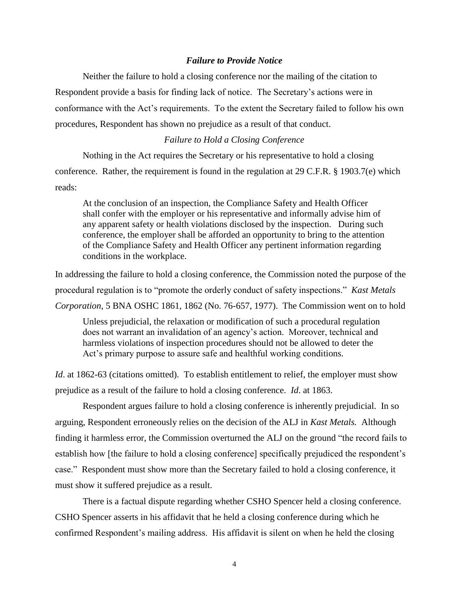### *Failure to Provide Notice*

Neither the failure to hold a closing conference nor the mailing of the citation to Respondent provide a basis for finding lack of notice. The Secretary's actions were in conformance with the Act's requirements. To the extent the Secretary failed to follow his own procedures, Respondent has shown no prejudice as a result of that conduct.

# *Failure to Hold a Closing Conference*

Nothing in the Act requires the Secretary or his representative to hold a closing conference. Rather, the requirement is found in the regulation at 29 C.F.R. § 1903.7(e) which reads:

At the conclusion of an inspection, the Compliance Safety and Health Officer shall confer with the employer or his representative and informally advise him of any apparent safety or health violations disclosed by the inspection. During such conference, the employer shall be afforded an opportunity to bring to the attention of the Compliance Safety and Health Officer any pertinent information regarding conditions in the workplace.

In addressing the failure to hold a closing conference, the Commission noted the purpose of the procedural regulation is to "promote the orderly conduct of safety inspections." *Kast Metals Corporation*, 5 BNA OSHC 1861, 1862 (No. 76-657, 1977). The Commission went on to hold

Unless prejudicial, the relaxation or modification of such a procedural regulation does not warrant an invalidation of an agency's action. Moreover, technical and harmless violations of inspection procedures should not be allowed to deter the Act's primary purpose to assure safe and healthful working conditions.

*Id.* at 1862-63 (citations omitted). To establish entitlement to relief, the employer must show prejudice as a result of the failure to hold a closing conference. *Id*. at 1863.

Respondent argues failure to hold a closing conference is inherently prejudicial. In so arguing, Respondent erroneously relies on the decision of the ALJ in *Kast Metals.* Although finding it harmless error, the Commission overturned the ALJ on the ground "the record fails to establish how [the failure to hold a closing conference] specifically prejudiced the respondent's case." Respondent must show more than the Secretary failed to hold a closing conference, it must show it suffered prejudice as a result.

There is a factual dispute regarding whether CSHO Spencer held a closing conference. CSHO Spencer asserts in his affidavit that he held a closing conference during which he confirmed Respondent's mailing address. His affidavit is silent on when he held the closing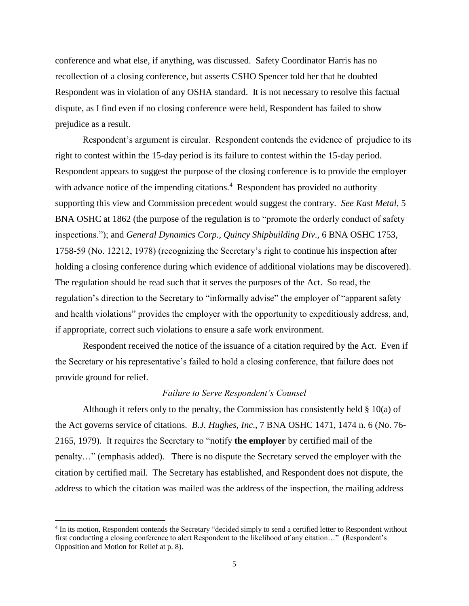conference and what else, if anything, was discussed. Safety Coordinator Harris has no recollection of a closing conference, but asserts CSHO Spencer told her that he doubted Respondent was in violation of any OSHA standard. It is not necessary to resolve this factual dispute, as I find even if no closing conference were held, Respondent has failed to show prejudice as a result.

Respondent's argument is circular. Respondent contends the evidence of prejudice to its right to contest within the 15-day period is its failure to contest within the 15-day period. Respondent appears to suggest the purpose of the closing conference is to provide the employer with advance notice of the impending citations. $4$  Respondent has provided no authority supporting this view and Commission precedent would suggest the contrary. *See Kast Metal*, 5 BNA OSHC at 1862 (the purpose of the regulation is to "promote the orderly conduct of safety inspections."); and *General Dynamics Corp., Quincy Shipbuilding Div*., 6 BNA OSHC 1753, 1758-59 (No. 12212, 1978) (recognizing the Secretary's right to continue his inspection after holding a closing conference during which evidence of additional violations may be discovered). The regulation should be read such that it serves the purposes of the Act. So read, the regulation's direction to the Secretary to "informally advise" the employer of "apparent safety and health violations" provides the employer with the opportunity to expeditiously address, and, if appropriate, correct such violations to ensure a safe work environment.

Respondent received the notice of the issuance of a citation required by the Act. Even if the Secretary or his representative's failed to hold a closing conference, that failure does not provide ground for relief.

# *Failure to Serve Respondent's Counsel*

Although it refers only to the penalty, the Commission has consistently held § 10(a) of the Act governs service of citations. *B.J. Hughes, Inc*., 7 BNA OSHC 1471, 1474 n. 6 (No. 76- 2165, 1979). It requires the Secretary to "notify **the employer** by certified mail of the penalty…" (emphasis added). There is no dispute the Secretary served the employer with the citation by certified mail. The Secretary has established, and Respondent does not dispute, the address to which the citation was mailed was the address of the inspection, the mailing address

 $\overline{\phantom{a}}$ 

<sup>&</sup>lt;sup>4</sup> In its motion, Respondent contends the Secretary "decided simply to send a certified letter to Respondent without first conducting a closing conference to alert Respondent to the likelihood of any citation…" (Respondent's Opposition and Motion for Relief at p. 8).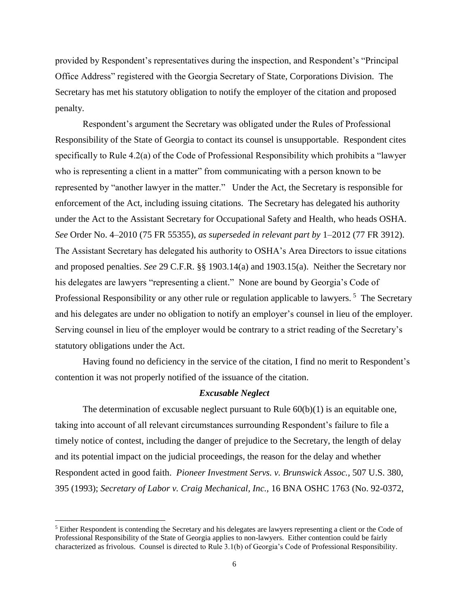provided by Respondent's representatives during the inspection, and Respondent's "Principal Office Address" registered with the Georgia Secretary of State, Corporations Division. The Secretary has met his statutory obligation to notify the employer of the citation and proposed penalty.

Respondent's argument the Secretary was obligated under the Rules of Professional Responsibility of the State of Georgia to contact its counsel is unsupportable. Respondent cites specifically to Rule 4.2(a) of the Code of Professional Responsibility which prohibits a "lawyer who is representing a client in a matter" from communicating with a person known to be represented by "another lawyer in the matter." Under the Act, the Secretary is responsible for enforcement of the Act, including issuing citations. The Secretary has delegated his authority under the Act to the Assistant Secretary for Occupational Safety and Health, who heads OSHA. *See* Order No. 4–2010 (75 FR 55355), *as superseded in relevant part by* 1–2012 (77 FR 3912). The Assistant Secretary has delegated his authority to OSHA's Area Directors to issue citations and proposed penalties. *See* 29 C.F.R. §§ 1903.14(a) and 1903.15(a). Neither the Secretary nor his delegates are lawyers "representing a client." None are bound by Georgia's Code of Professional Responsibility or any other rule or regulation applicable to lawyers.<sup>5</sup> The Secretary and his delegates are under no obligation to notify an employer's counsel in lieu of the employer. Serving counsel in lieu of the employer would be contrary to a strict reading of the Secretary's statutory obligations under the Act.

Having found no deficiency in the service of the citation, I find no merit to Respondent's contention it was not properly notified of the issuance of the citation.

# *Excusable Neglect*

The determination of excusable neglect pursuant to Rule  $60(b)(1)$  is an equitable one, taking into account of all relevant circumstances surrounding Respondent's failure to file a timely notice of contest, including the danger of prejudice to the Secretary, the length of delay and its potential impact on the judicial proceedings, the reason for the delay and whether Respondent acted in good faith. *Pioneer Investment Servs. v. Brunswick Assoc.,* 507 U.S. 380, 395 (1993); *Secretary of Labor v. Craig Mechanical, Inc.,* 16 BNA OSHC 1763 (No. 92-0372,

 $\overline{\phantom{a}}$ 

<sup>5</sup> Either Respondent is contending the Secretary and his delegates are lawyers representing a client or the Code of Professional Responsibility of the State of Georgia applies to non-lawyers. Either contention could be fairly characterized as frivolous. Counsel is directed to Rule 3.1(b) of Georgia's Code of Professional Responsibility.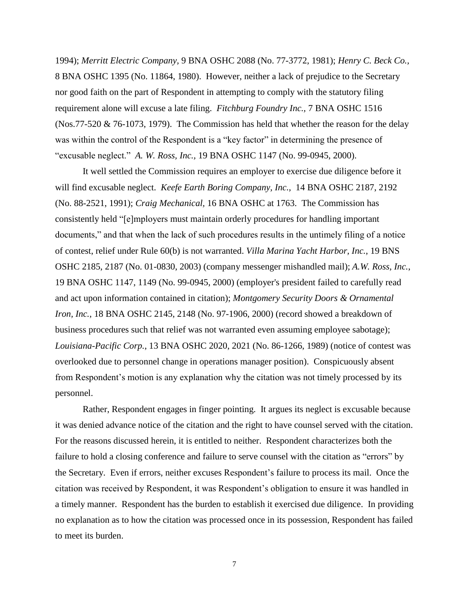1994); *Merritt Electric Company,* 9 BNA OSHC 2088 (No. 77-3772, 1981); *Henry C. Beck Co.,*  8 BNA OSHC 1395 (No. 11864, 1980). However, neither a lack of prejudice to the Secretary nor good faith on the part of Respondent in attempting to comply with the statutory filing requirement alone will excuse a late filing. *Fitchburg Foundry Inc.,* 7 BNA OSHC 1516 (Nos.77-520 & 76-1073, 1979). The Commission has held that whether the reason for the delay was within the control of the Respondent is a "key factor" in determining the presence of "excusable neglect." *A. W. Ross, Inc.,* 19 BNA OSHC 1147 (No. 99-0945, 2000).

It well settled the Commission requires an employer to exercise due diligence before it will find excusable neglect. *Keefe Earth Boring Company, Inc.,* [14 BNA OSHC 2187, 2192](http://www.westlaw.com/Find/Default.wl?rs=dfa1.0&vr=2.0&DB=0003227&FindType=Y&SerialNum=1991434415)  [\(No. 88-2521, 1991\);](http://www.westlaw.com/Find/Default.wl?rs=dfa1.0&vr=2.0&DB=0003227&FindType=Y&SerialNum=1991434415) *Craig Mechanical,* 16 BNA OSHC at 1763. The Commission has consistently held "[e]mployers must maintain orderly procedures for handling important documents," and that when the lack of such procedures results in the untimely filing of a notice of contest, relief under [Rule 60\(b\)](http://www.westlaw.com/Find/Default.wl?rs=dfa1.0&vr=2.0&DB=1004365&DocName=USFRCPR60&FindType=L) is not warranted. *Villa Marina Yacht Harbor, Inc.*, 19 BNS OSHC 2185, 2187 (No. 01-0830, 2003) (company messenger mishandled mail); *[A.W. Ross, Inc.](http://www.westlaw.com/Find/Default.wl?rs=dfa1.0&vr=2.0&DB=0003227&FindType=Y&SerialNum=2000905201)*[,](http://www.westlaw.com/Find/Default.wl?rs=dfa1.0&vr=2.0&DB=0003227&FindType=Y&SerialNum=2000905201)  [19 BNA OSHC 1147, 1149 \(No. 99-0945, 2000\)](http://www.westlaw.com/Find/Default.wl?rs=dfa1.0&vr=2.0&DB=0003227&FindType=Y&SerialNum=2000905201) (employer's president failed to carefully read and act upon information contained in citation); *Montgomery Security Doors & Ornamental Iron, Inc.*, 18 BNA OSHC 2145, 2148 (No. 97-1906, 2000) (record showed a breakdown of business procedures such that relief was not warranted even assuming employee sabotage); *Louisiana-Pacific Corp.*, 13 BNA OSHC 2020, 2021 (No. 86-1266, 1989) (notice of contest was overlooked due to personnel change in operations manager position). Conspicuously absent from Respondent's motion is any explanation why the citation was not timely processed by its personnel.

Rather, Respondent engages in finger pointing. It argues its neglect is excusable because it was denied advance notice of the citation and the right to have counsel served with the citation. For the reasons discussed herein, it is entitled to neither. Respondent characterizes both the failure to hold a closing conference and failure to serve counsel with the citation as "errors" by the Secretary. Even if errors, neither excuses Respondent's failure to process its mail. Once the citation was received by Respondent, it was Respondent's obligation to ensure it was handled in a timely manner. Respondent has the burden to establish it exercised due diligence. In providing no explanation as to how the citation was processed once in its possession, Respondent has failed to meet its burden.

7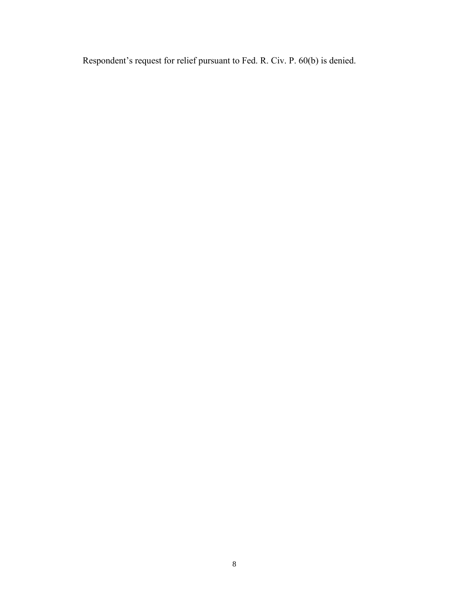Respondent's request for relief pursuant to Fed. R. Civ. P. 60(b) is denied.